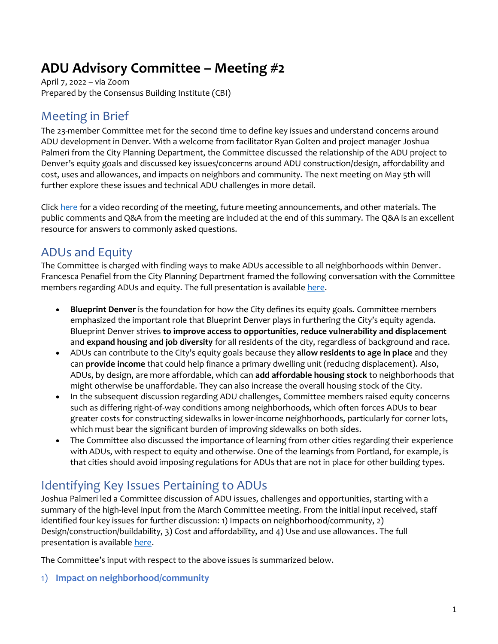# **ADU Advisory Committee – Meeting #2**

April 7, 2022 – via Zoom Prepared by the Consensus Building Institute (CBI)

### Meeting in Brief

The 23-member Committee met for the second time to define key issues and understand concerns around ADU development in Denver. With a welcome from facilitator Ryan Golten and project manager Joshua Palmeri from the City Planning Department, the Committee discussed the relationship of the ADU project to Denver's equity goals and discussed key issues/concerns around ADU construction/design, affordability and cost, uses and allowances, and impacts on neighbors and community. The next meeting on May 5th will further explore these issues and technical ADU challenges in more detail.

Click [here](https://www.denvergov.org/Government/Agencies-Departments-Offices/Agencies-Departments-Offices-Directory/Community-Planning-and-Development/Denver-Zoning-Code/Text-Amendments/ADUs-in-Denver#section-6) for a video recording of the meeting, future meeting announcements, and other materials. The public comments and Q&A from the meeting are included at the end of this summary. The Q&A is an excellent resource for answers to commonly asked questions.

### ADUs and Equity

The Committee is charged with finding ways to make ADUs accessible to all neighborhoods within Denver. Francesca Penafiel from the City Planning Department framed the following conversation with the Committee members regarding ADUs and equity. The full presentation is availabl[e here.](https://www.denvergov.org/Government/Agencies-Departments-Offices/Agencies-Departments-Offices-Directory/Community-Planning-and-Development/Denver-Zoning-Code/Text-Amendments/ADUs-in-Denver#section-6)

- **Blueprint Denver** is the foundation for how the City defines its equity goals. Committee members emphasized the important role that Blueprint Denver plays in furthering the City's equity agenda. Blueprint Denver strives **to improve access to opportunities**, **reduce vulnerability and displacement** and **expand housing and job diversity** for all residents of the city, regardless of background and race.
- ADUs can contribute to the City's equity goals because they **allow residents to age in place** and they can **provide income** that could help finance a primary dwelling unit (reducing displacement). Also, ADUs, by design, are more affordable, which can **add affordable housing stock** to neighborhoods that might otherwise be unaffordable. They can also increase the overall housing stock of the City.
- In the subsequent discussion regarding ADU challenges, Committee members raised equity concerns such as differing right-of-way conditions among neighborhoods, which often forces ADUs to bear greater costs for constructing sidewalks in lower-income neighborhoods, particularly for corner lots, which must bear the significant burden of improving sidewalks on both sides.
- The Committee also discussed the importance of learning from other cities regarding their experience with ADUs, with respect to equity and otherwise. One of the learnings from Portland, for example, is that cities should avoid imposing regulations for ADUs that are not in place for other building types.

### Identifying Key Issues Pertaining to ADUs

Joshua Palmeri led a Committee discussion of ADU issues, challenges and opportunities, starting with a summary of the high-level input from the March Committee meeting. From the initial input received, staff identified four key issues for further discussion: 1) Impacts on neighborhood/community, 2) Design/construction/buildability, 3) Cost and affordability, and 4) Use and use allowances. The full presentation is available [here.](https://www.denvergov.org/Government/Agencies-Departments-Offices/Agencies-Departments-Offices-Directory/Community-Planning-and-Development/Denver-Zoning-Code/Text-Amendments/ADUs-in-Denver#section-6)

The Committee's input with respect to the above issues is summarized below.

1) **Impact on neighborhood/community**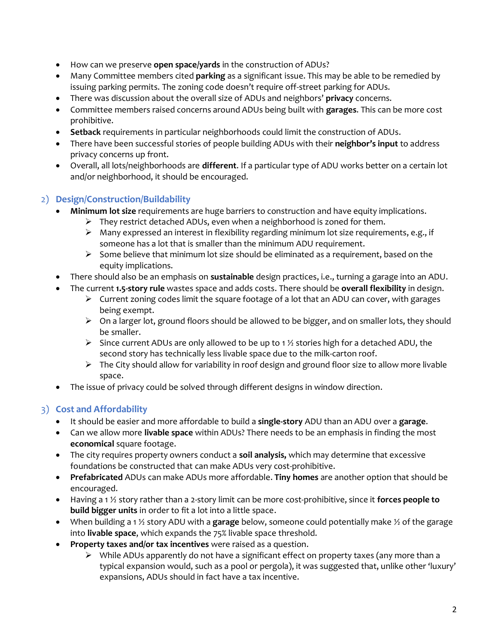- How can we preserve **open space/yards** in the construction of ADUs?
- Many Committee members cited **parking** as a significant issue. This may be able to be remedied by issuing parking permits. The zoning code doesn't require off-street parking for ADUs.
- There was discussion about the overall size of ADUs and neighbors' **privacy** concerns.
- Committee members raised concerns around ADUs being built with **garages**. This can be more cost prohibitive.
- **Setback** requirements in particular neighborhoods could limit the construction of ADUs.
- There have been successful stories of people building ADUs with their **neighbor's input** to address privacy concerns up front.
- Overall, all lots/neighborhoods are **different**. If a particular type of ADU works better on a certain lot and/or neighborhood, it should be encouraged.

#### 2) **Design/Construction/Buildability**

- **Minimum lot size** requirements are huge barriers to construction and have equity implications.
	- ➢ They restrict detached ADUs, even when a neighborhood is zoned for them.
	- ➢ Many expressed an interest in flexibility regarding minimum lot size requirements, e.g., if someone has a lot that is smaller than the minimum ADU requirement.
	- ➢ Some believe that minimum lot size should be eliminated as a requirement, based on the equity implications.
- There should also be an emphasis on **sustainable** design practices, i.e., turning a garage into an ADU.
- The current **1.5-story rule** wastes space and adds costs. There should be **overall flexibility** in design.
	- $\triangleright$  Current zoning codes limit the square footage of a lot that an ADU can cover, with garages being exempt.
	- ➢ On a larger lot, ground floors should be allowed to be bigger, and on smaller lots, they should be smaller.
	- $\triangleright$  Since current ADUs are only allowed to be up to 1 % stories high for a detached ADU, the second story has technically less livable space due to the milk-carton roof.
	- ➢ The City should allow for variability in roof design and ground floor size to allow more livable space.
- The issue of privacy could be solved through different designs in window direction.

#### 3) **Cost and Affordability**

- It should be easier and more affordable to build a **single-story** ADU than an ADU over a **garage**.
- Can we allow more **livable space** within ADUs? There needs to be an emphasis in finding the most **economical** square footage.
- The city requires property owners conduct a **soil analysis,** which may determine that excessive foundations be constructed that can make ADUs very cost-prohibitive.
- **Prefabricated** ADUs can make ADUs more affordable. **Tiny homes** are another option that should be encouraged.
- Having a 1 ½ story rather than a 2-story limit can be more cost-prohibitive, since it **forces people to build bigger units** in order to fit a lot into a little space.
- When building a 1 ½ story ADU with a **garage** below, someone could potentially make ½ of the garage into **livable space**, which expands the 75% livable space threshold.
- **Property taxes and/or tax incentives** were raised as a question.
	- ➢ While ADUs apparently do not have a significant effect on property taxes (any more than a typical expansion would, such as a pool or pergola), it was suggested that, unlike other 'luxury' expansions, ADUs should in fact have a tax incentive.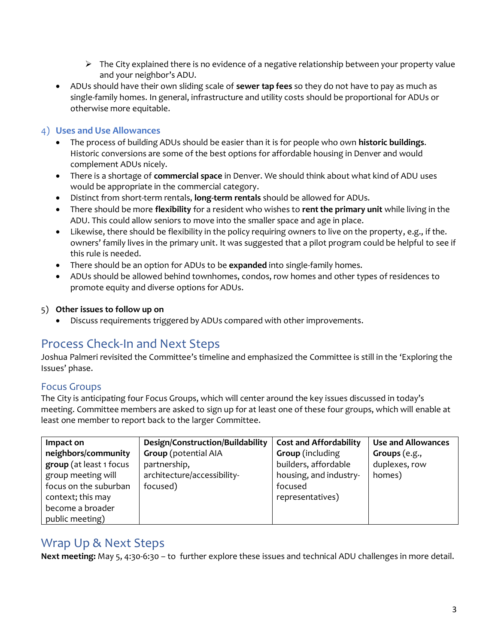- ➢ The City explained there is no evidence of a negative relationship between your property value and your neighbor's ADU.
- ADUs should have their own sliding scale of **sewer tap fees** so they do not have to pay as much as single-family homes. In general, infrastructure and utility costs should be proportional for ADUs or otherwise more equitable.

#### 4) **Uses and Use Allowances**

- The process of building ADUs should be easier than it is for people who own **historic buildings**. Historic conversions are some of the best options for affordable housing in Denver and would complement ADUs nicely.
- There is a shortage of **commercial space** in Denver. We should think about what kind of ADU uses would be appropriate in the commercial category.
- Distinct from short-term rentals, **long-term rentals** should be allowed for ADUs.
- There should be more **flexibility** for a resident who wishes to **rent the primary unit** while living in the ADU. This could allow seniors to move into the smaller space and age in place.
- Likewise, there should be flexibility in the policy requiring owners to live on the property, e.g., if the. owners' family lives in the primary unit. It was suggested that a pilot program could be helpful to see if this rule is needed.
- There should be an option for ADUs to be **expanded** into single-family homes.
- ADUs should be allowed behind townhomes, condos, row homes and other types of residences to promote equity and diverse options for ADUs.

#### 5) **Other issues to follow up on**

• Discuss requirements triggered by ADUs compared with other improvements.

### Process Check-In and Next Steps

Joshua Palmeri revisited the Committee's timeline and emphasized the Committee is still in the 'Exploring the Issues' phase.

#### Focus Groups

The City is anticipating four Focus Groups, which will center around the key issues discussed in today's meeting. Committee members are asked to sign up for at least one of these four groups, which will enable at least one member to report back to the larger Committee.

| Impact on               | Design/Construction/Buildability | <b>Cost and Affordability</b> | <b>Use and Allowances</b> |
|-------------------------|----------------------------------|-------------------------------|---------------------------|
| neighbors/community     | <b>Group</b> (potential AIA      | Group (including              | Groups $(e.g.,$           |
| group (at least 1 focus | partnership,                     | builders, affordable          | duplexes, row             |
| group meeting will      | architecture/accessibility-      | housing, and industry-        | homes)                    |
| focus on the suburban   | focused)                         | focused                       |                           |
| context; this may       |                                  | representatives)              |                           |
| become a broader        |                                  |                               |                           |
| public meeting)         |                                  |                               |                           |

### Wrap Up & Next Steps

**Next meeting:** May 5, 4:30-6:30 – to further explore these issues and technical ADU challenges in more detail.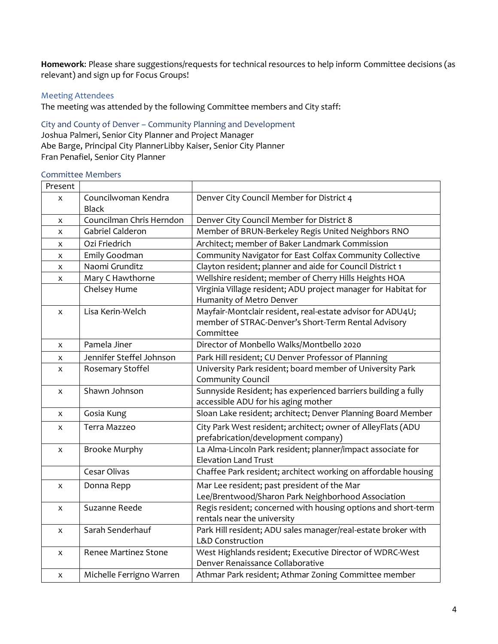**Homework**: Please share suggestions/requests for technical resources to help inform Committee decisions (as relevant) and sign up for Focus Groups!

#### Meeting Attendees

The meeting was attended by the following Committee members and City staff:

City and County of Denver – Community Planning and Development Joshua Palmeri, Senior City Planner and Project Manager Abe Barge, Principal City PlannerLibby Kaiser, Senior City Planner Fran Penafiel, Senior City Planner

#### Committee Members

| Present |                                     |                                                                                                                                |
|---------|-------------------------------------|--------------------------------------------------------------------------------------------------------------------------------|
| x       | Councilwoman Kendra<br><b>Black</b> | Denver City Council Member for District 4                                                                                      |
| x       | Councilman Chris Herndon            | Denver City Council Member for District 8                                                                                      |
| X       | Gabriel Calderon                    | Member of BRUN-Berkeley Regis United Neighbors RNO                                                                             |
| X       | Ozi Friedrich                       | Architect; member of Baker Landmark Commission                                                                                 |
| x       | Emily Goodman                       | Community Navigator for East Colfax Community Collective                                                                       |
| X       | Naomi Grunditz                      | Clayton resident; planner and aide for Council District 1                                                                      |
| x       | Mary C Hawthorne                    | Wellshire resident; member of Cherry Hills Heights HOA                                                                         |
|         | Chelsey Hume                        | Virginia Village resident; ADU project manager for Habitat for<br>Humanity of Metro Denver                                     |
| x       | Lisa Kerin-Welch                    | Mayfair-Montclair resident, real-estate advisor for ADU4U;<br>member of STRAC-Denver's Short-Term Rental Advisory<br>Committee |
| X       | Pamela Jiner                        | Director of Monbello Walks/Montbello 2020                                                                                      |
| x       | Jennifer Steffel Johnson            | Park Hill resident; CU Denver Professor of Planning                                                                            |
| x       | Rosemary Stoffel                    | University Park resident; board member of University Park<br>Community Council                                                 |
| x       | Shawn Johnson                       | Sunnyside Resident; has experienced barriers building a fully<br>accessible ADU for his aging mother                           |
| x       | Gosia Kung                          | Sloan Lake resident; architect; Denver Planning Board Member                                                                   |
| X       | Terra Mazzeo                        | City Park West resident; architect; owner of AlleyFlats (ADU<br>prefabrication/development company)                            |
| X       | <b>Brooke Murphy</b>                | La Alma-Lincoln Park resident; planner/impact associate for<br><b>Elevation Land Trust</b>                                     |
|         | Cesar Olivas                        | Chaffee Park resident; architect working on affordable housing                                                                 |
| x       | Donna Repp                          | Mar Lee resident; past president of the Mar<br>Lee/Brentwood/Sharon Park Neighborhood Association                              |
| X       | Suzanne Reede                       | Regis resident; concerned with housing options and short-term<br>rentals near the university                                   |
| X       | Sarah Senderhauf                    | Park Hill resident; ADU sales manager/real-estate broker with<br><b>L&amp;D Construction</b>                                   |
| X       | <b>Renee Martinez Stone</b>         | West Highlands resident; Executive Director of WDRC-West<br>Denver Renaissance Collaborative                                   |
| X       | Michelle Ferrigno Warren            | Athmar Park resident; Athmar Zoning Committee member                                                                           |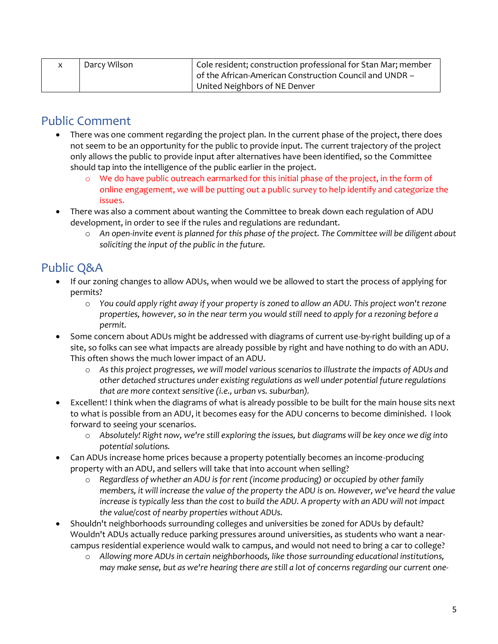| Darcy Wilson | <sup>1</sup> Cole resident; construction professional for Stan Mar; member |
|--------------|----------------------------------------------------------------------------|
|              | of the African-American Construction Council and UNDR -                    |
|              | United Neighbors of NE Denver                                              |

## Public Comment

- There was one comment regarding the project plan. In the current phase of the project, there does not seem to be an opportunity for the public to provide input. The current trajectory of the project only allows the public to provide input after alternatives have been identified, so the Committee should tap into the intelligence of the public earlier in the project.
	- We do have public outreach earmarked for this initial phase of the project, in the form of online engagement, we will be putting out a public survey to help identify and categorize the issues.
- There was also a comment about wanting the Committee to break down each regulation of ADU development, in order to see if the rules and regulations are redundant.
	- o *An open-invite event is planned for this phase of the project. The Committee will be diligent about soliciting the input of the public in the future.*

# Public Q&A

- If our zoning changes to allow ADUs, when would we be allowed to start the process of applying for permits?
	- o *You could apply right away if your property is zoned to allow an ADU. This project won't rezone properties, however, so in the near term you would still need to apply for a rezoning before a permit.*
- Some concern about ADUs might be addressed with diagrams of current use-by-right building up of a site, so folks can see what impacts are already possible by right and have nothing to do with an ADU. This often shows the much lower impact of an ADU.
	- o *As this project progresses, we will model various scenarios to illustrate the impacts of ADUs and other detached structures under existing regulations as well under potential future regulations that are more context sensitive (i.e., urban vs. suburban).*
- Excellent! I think when the diagrams of what is already possible to be built for the main house sits next to what is possible from an ADU, it becomes easy for the ADU concerns to become diminished. I look forward to seeing your scenarios.
	- o *Absolutely! Right now, we're still exploring the issues, but diagrams will be key once we dig into potential solutions.*
- Can ADUs increase home prices because a property potentially becomes an income-producing property with an ADU, and sellers will take that into account when selling?
	- o *Regardless of whether an ADU is for rent (income producing) or occupied by other family members, it will increase the value of the property the ADU is on. However, we've heard the value increase is typically less than the cost to build the ADU. A property with an ADU will not impact the value/cost of nearby properties without ADUs.*
- Shouldn't neighborhoods surrounding colleges and universities be zoned for ADUs by default? Wouldn't ADUs actually reduce parking pressures around universities, as students who want a nearcampus residential experience would walk to campus, and would not need to bring a car to college?
	- o *Allowing more ADUs in certain neighborhoods, like those surrounding educational institutions, may make sense, but as we're hearing there are still a lot of concerns regarding our current one-*